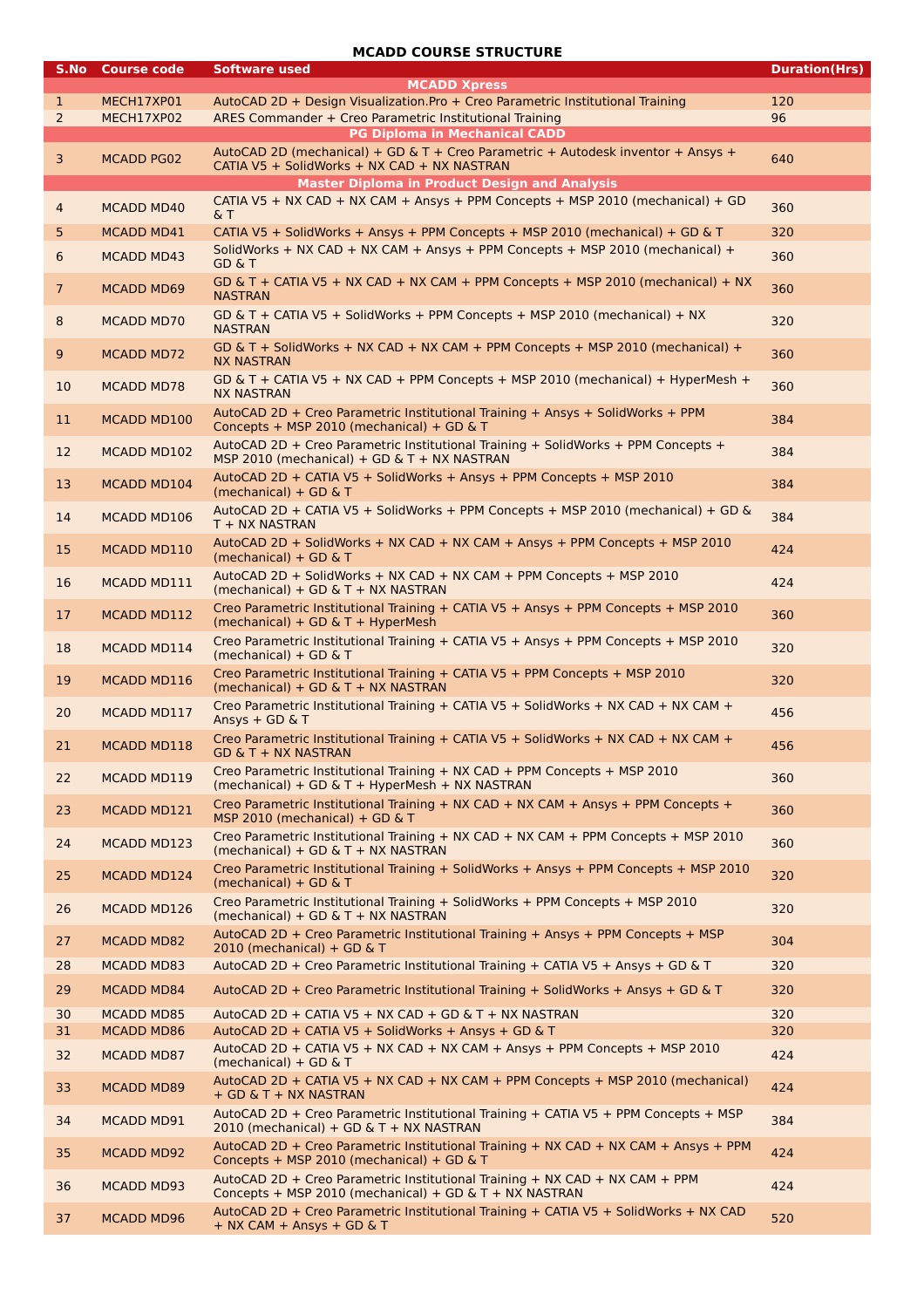## **MCADD COURSE STRUCTURE**

| S.No                | <b>Course code</b>                     | <b>Software used</b><br><b>MCADD Xpress</b>                                                                                                                             | <b>Duration(Hrs)</b> |
|---------------------|----------------------------------------|-------------------------------------------------------------------------------------------------------------------------------------------------------------------------|----------------------|
| $\mathbf{1}$<br>2   | MECH17XP01<br>MECH17XP02               | AutoCAD 2D + Design Visualization.Pro + Creo Parametric Institutional Training<br>ARES Commander + Creo Parametric Institutional Training                               | 120<br>96            |
| 3                   | <b>MCADD PG02</b>                      | <b>PG Diploma in Mechanical CADD</b><br>AutoCAD 2D (mechanical) + GD & T + Creo Parametric + Autodesk inventor + Ansys +<br>CATIA V5 + SolidWorks + NX CAD + NX NASTRAN | 640                  |
|                     |                                        | <b>Master Diploma in Product Design and Analysis</b><br>CATIA V5 + NX CAD + NX CAM + Ansys + PPM Concepts + MSP 2010 (mechanical) + GD                                  |                      |
| 4                   | <b>MCADD MD40</b>                      | &Τ                                                                                                                                                                      | 360                  |
| 5                   | <b>MCADD MD41</b>                      | CATIA V5 + SolidWorks + Ansys + PPM Concepts + MSP 2010 (mechanical) + GD & T<br>SolidWorks + NX CAD + NX CAM + Ansys + PPM Concepts + MSP 2010 (mechanical) +          | 320                  |
| 6<br>$\overline{7}$ | <b>MCADD MD43</b><br><b>MCADD MD69</b> | <b>GD &amp; T</b><br>GD & T + CATIA V5 + NX CAD + NX CAM + PPM Concepts + MSP 2010 (mechanical) + NX                                                                    | 360<br>360           |
| 8                   | <b>MCADD MD70</b>                      | <b>NASTRAN</b><br>GD & T + CATIA V5 + SolidWorks + PPM Concepts + MSP 2010 (mechanical) + NX                                                                            | 320                  |
| 9                   | <b>MCADD MD72</b>                      | <b>NASTRAN</b><br>GD & T + SolidWorks + NX CAD + NX CAM + PPM Concepts + MSP 2010 (mechanical) +<br><b>NX NASTRAN</b>                                                   | 360                  |
| 10                  | <b>MCADD MD78</b>                      | GD & T + CATIA V5 + NX CAD + PPM Concepts + MSP 2010 (mechanical) + HyperMesh +<br><b>NX NASTRAN</b>                                                                    | 360                  |
| 11                  | MCADD MD100                            | AutoCAD 2D + Creo Parametric Institutional Training + Ansys + SolidWorks + PPM<br>Concepts + MSP 2010 (mechanical) + GD & T                                             | 384                  |
| 12                  | MCADD MD102                            | AutoCAD 2D + Creo Parametric Institutional Training + SolidWorks + PPM Concepts +<br>MSP 2010 (mechanical) + GD & T + NX NASTRAN                                        | 384                  |
| 13                  | MCADD MD104                            | AutoCAD 2D + CATIA V5 + SolidWorks + Ansys + PPM Concepts + MSP 2010<br>(mechanical) + GD $&$ T                                                                         | 384                  |
| 14                  | MCADD MD106                            | AutoCAD 2D + CATIA V5 + SolidWorks + PPM Concepts + MSP 2010 (mechanical) + GD &<br>T + NX NASTRAN                                                                      | 384                  |
| 15                  | MCADD MD110                            | AutoCAD 2D + SolidWorks + NX CAD + NX CAM + Ansys + PPM Concepts + MSP 2010<br>(mechanical) + GD $\&$ T                                                                 | 424                  |
| 16                  | MCADD MD111                            | AutoCAD 2D + SolidWorks + NX CAD + NX CAM + PPM Concepts + MSP 2010<br>(mechanical) + GD & T + NX NASTRAN                                                               | 424                  |
| 17                  | MCADD MD112                            | Creo Parametric Institutional Training + CATIA V5 + Ansys + PPM Concepts + MSP 2010<br>(mechanical) + GD & T + HyperMesh                                                | 360                  |
| 18                  | MCADD MD114                            | Creo Parametric Institutional Training + CATIA V5 + Ansys + PPM Concepts + MSP 2010<br>(mechanical) + GD & T                                                            | 320                  |
| 19                  | MCADD MD116                            | Creo Parametric Institutional Training + CATIA V5 + PPM Concepts + MSP 2010<br>(mechanical) + GD & T + NX NASTRAN                                                       | 320                  |
| 20                  | MCADD MD117                            | Creo Parametric Institutional Training + CATIA V5 + SolidWorks + NX CAD + NX CAM +<br>Ansys + GD & T                                                                    | 456                  |
| 21                  | MCADD MD118                            | Creo Parametric Institutional Training + CATIA V5 + SolidWorks + NX CAD + NX CAM +<br>GD & T + NX NASTRAN                                                               | 456                  |
| 22                  | MCADD MD119                            | Creo Parametric Institutional Training + NX CAD + PPM Concepts + MSP 2010<br>(mechanical) + GD & T + HyperMesh + NX NASTRAN                                             | 360                  |
| 23                  | MCADD MD121                            | Creo Parametric Institutional Training + NX CAD + NX CAM + Ansys + PPM Concepts +<br>MSP 2010 (mechanical) + GD & T                                                     | 360                  |
| 24                  | MCADD MD123                            | Creo Parametric Institutional Training + NX CAD + NX CAM + PPM Concepts + MSP 2010<br>$(mechanical) + GD & T + NX NASTRAN$                                              | 360                  |
| 25                  | MCADD MD124                            | Creo Parametric Institutional Training + SolidWorks + Ansys + PPM Concepts + MSP 2010<br>(mechanical) + GD $\&$ T                                                       | 320                  |
| 26                  | MCADD MD126                            | Creo Parametric Institutional Training + SolidWorks + PPM Concepts + MSP 2010<br>(mechanical) + GD & T + NX NASTRAN                                                     | 320                  |
| 27                  | <b>MCADD MD82</b>                      | AutoCAD 2D + Creo Parametric Institutional Training + Ansys + PPM Concepts + MSP<br>$2010$ (mechanical) + GD & T                                                        | 304                  |
| 28                  | <b>MCADD MD83</b>                      | AutoCAD 2D + Creo Parametric Institutional Training + CATIA V5 + Ansys + GD & T                                                                                         | 320                  |
| 29                  | <b>MCADD MD84</b>                      | AutoCAD 2D + Creo Parametric Institutional Training + SolidWorks + Ansys + GD & T                                                                                       | 320                  |
| 30                  | <b>MCADD MD85</b>                      | AutoCAD 2D + CATIA V5 + NX CAD + GD & T + NX NASTRAN                                                                                                                    | 320                  |
| 31<br>32            | MCADD MD86<br><b>MCADD MD87</b>        | AutoCAD 2D + CATIA V5 + SolidWorks + Ansys + GD & T<br>AutoCAD 2D + CATIA V5 + NX CAD + NX CAM + Ansys + PPM Concepts + MSP 2010                                        | 320<br>424           |
| 33                  | <b>MCADD MD89</b>                      | (mechanical) + GD & T<br>AutoCAD 2D + CATIA V5 + NX CAD + NX CAM + PPM Concepts + MSP 2010 (mechanical)<br>+ GD & T + NX NASTRAN                                        | 424                  |
| 34                  | MCADD MD91                             | AutoCAD 2D + Creo Parametric Institutional Training + CATIA V5 + PPM Concepts + MSP<br>2010 (mechanical) + GD & T + NX NASTRAN                                          | 384                  |
| 35                  | <b>MCADD MD92</b>                      | AutoCAD 2D + Creo Parametric Institutional Training + NX CAD + NX CAM + Ansys + PPM<br>Concepts + MSP 2010 (mechanical) + GD & T                                        | 424                  |
| 36                  | <b>MCADD MD93</b>                      | AutoCAD 2D + Creo Parametric Institutional Training + NX CAD + NX CAM + PPM<br>Concepts + MSP 2010 (mechanical) + GD & T + NX NASTRAN                                   | 424                  |
| 37                  | MCADD MD96                             | AutoCAD 2D + Creo Parametric Institutional Training + CATIA V5 + SolidWorks + NX CAD<br>+ NX CAM + Ansys + GD & T                                                       | 520                  |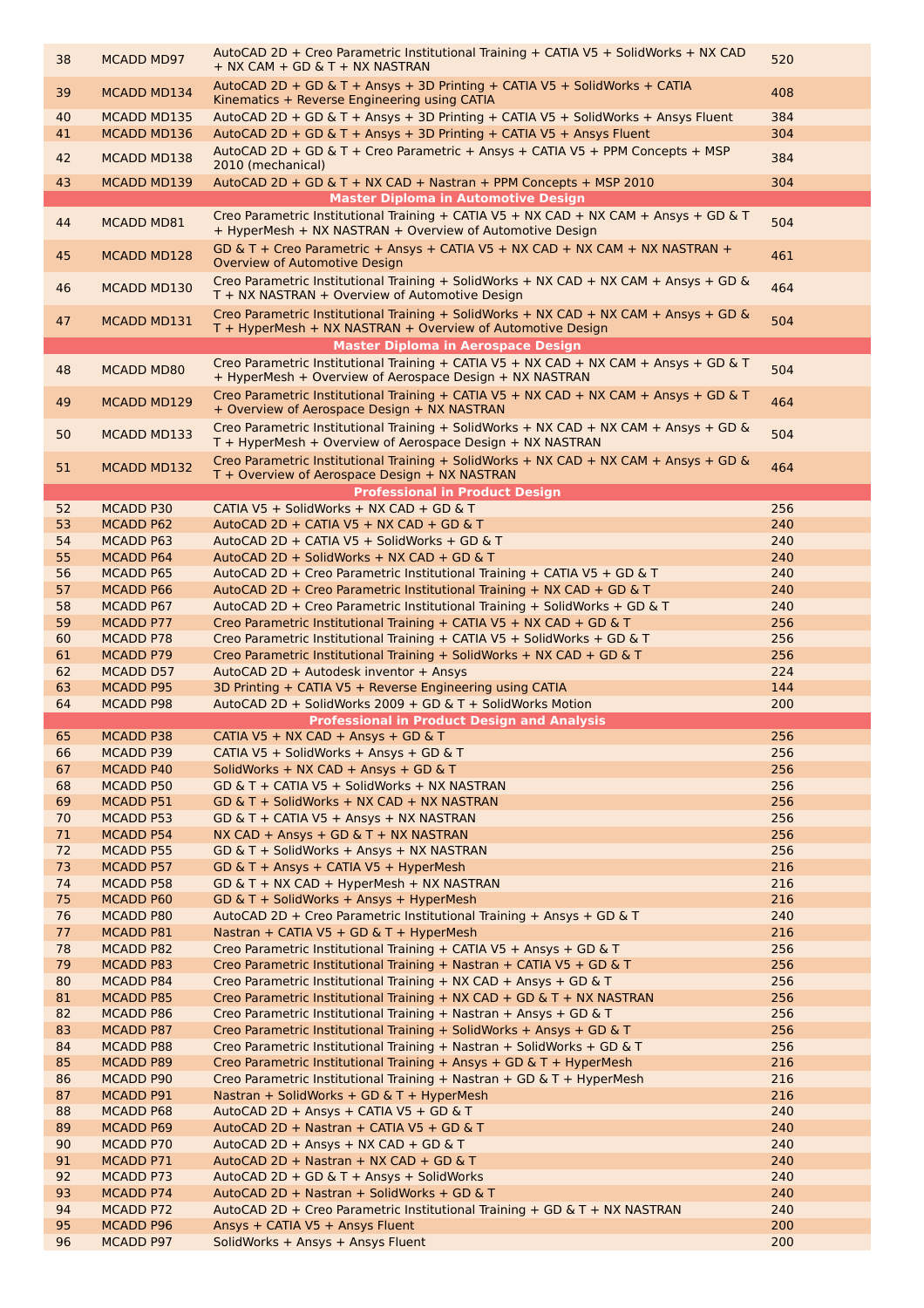| 38       | <b>MCADD MD97</b>             | AutoCAD 2D + Creo Parametric Institutional Training + CATIA V5 + SolidWorks + NX CAD<br>$+$ NX CAM $+$ GD & T $+$ NX NASTRAN                      | 520        |
|----------|-------------------------------|---------------------------------------------------------------------------------------------------------------------------------------------------|------------|
| 39       | <b>MCADD MD134</b>            | AutoCAD 2D + GD & T + Ansys + 3D Printing + CATIA V5 + SolidWorks + CATIA<br>Kinematics + Reverse Engineering using CATIA                         | 408        |
| 40       | MCADD MD135                   | AutoCAD 2D + GD & T + Ansys + 3D Printing + CATIA V5 + SolidWorks + Ansys Fluent                                                                  | 384        |
| 41       | MCADD MD136                   | AutoCAD 2D + GD & T + Ansys + 3D Printing + CATIA V5 + Ansys Fluent                                                                               | 304        |
| 42       | MCADD MD138                   | AutoCAD 2D + GD & T + Creo Parametric + Ansys + CATIA V5 + PPM Concepts + MSP                                                                     | 384        |
| 43       | <b>MCADD MD139</b>            | 2010 (mechanical)<br>AutoCAD 2D + GD & T + NX CAD + Nastran + PPM Concepts + MSP 2010                                                             | 304        |
|          |                               | <b>Master Diploma in Automotive Design</b>                                                                                                        |            |
| 44       | MCADD MD81                    | Creo Parametric Institutional Training + CATIA V5 + NX CAD + NX CAM + Ansys + GD & T                                                              | 504        |
|          |                               | + HyperMesh + NX NASTRAN + Overview of Automotive Design                                                                                          |            |
| 45       | MCADD MD128                   | GD & T + Creo Parametric + Ansys + CATIA V5 + NX CAD + NX CAM + NX NASTRAN +<br>Overview of Automotive Design                                     | 461        |
|          |                               | Creo Parametric Institutional Training + SolidWorks + NX CAD + NX CAM + Ansys + GD &                                                              |            |
| 46       | MCADD MD130                   | T + NX NASTRAN + Overview of Automotive Design                                                                                                    | 464        |
| 47       | MCADD MD131                   | Creo Parametric Institutional Training + SolidWorks + NX CAD + NX CAM + Ansys + GD &                                                              | 504        |
|          |                               | T + HyperMesh + NX NASTRAN + Overview of Automotive Design                                                                                        |            |
|          |                               | <b>Master Diploma in Aerospace Design</b>                                                                                                         |            |
| 48       | <b>MCADD MD80</b>             | Creo Parametric Institutional Training + CATIA V5 + NX CAD + NX CAM + Ansys + GD & T<br>+ HyperMesh + Overview of Aerospace Design + NX NASTRAN   | 504        |
|          | MCADD MD129                   | Creo Parametric Institutional Training + CATIA V5 + NX CAD + NX CAM + Ansys + GD & T                                                              | 464        |
| 49       |                               | + Overview of Aerospace Design + NX NASTRAN                                                                                                       |            |
| 50       | MCADD MD133                   | Creo Parametric Institutional Training + SolidWorks + NX CAD + NX CAM + Ansys + GD &                                                              | 504        |
|          |                               | T + HyperMesh + Overview of Aerospace Design + NX NASTRAN<br>Creo Parametric Institutional Training + SolidWorks + NX CAD + NX CAM + Ansys + GD & |            |
| 51       | <b>MCADD MD132</b>            | T + Overview of Aerospace Design + NX NASTRAN                                                                                                     | 464        |
|          |                               | <b>Professional in Product Design</b>                                                                                                             |            |
| 52       | MCADD P30                     | CATIA V5 + SolidWorks + NX CAD + GD & T                                                                                                           | 256        |
| 53       | <b>MCADD P62</b>              | AutoCAD 2D + CATIA V5 + NX CAD + GD & T                                                                                                           | 240        |
| 54       | MCADD P63                     | AutoCAD 2D + CATIA V5 + SolidWorks + GD & T                                                                                                       | 240        |
| 55<br>56 | MCADD P64<br><b>MCADD P65</b> | AutoCAD 2D + SolidWorks + NX CAD + GD & T<br>AutoCAD 2D + Creo Parametric Institutional Training + CATIA V5 + GD & T                              | 240<br>240 |
| 57       | MCADD P66                     | AutoCAD 2D + Creo Parametric Institutional Training + NX CAD + GD & T                                                                             | 240        |
| 58       | MCADD P67                     | AutoCAD 2D + Creo Parametric Institutional Training + SolidWorks + GD & T                                                                         | 240        |
| 59       | <b>MCADD P77</b>              | Creo Parametric Institutional Training + CATIA V5 + NX CAD + GD & T                                                                               | 256        |
| 60       | <b>MCADD P78</b>              | Creo Parametric Institutional Training + CATIA V5 + SolidWorks + GD & T                                                                           | 256        |
| 61       | <b>MCADD P79</b>              | Creo Parametric Institutional Training + SolidWorks + NX CAD + GD & T                                                                             | 256        |
| 62       | <b>MCADD D57</b>              | AutoCAD 2D + Autodesk inventor + Ansys                                                                                                            | 224        |
| 63<br>64 | <b>MCADD P95</b><br>MCADD P98 | 3D Printing + CATIA V5 + Reverse Engineering using CATIA<br>AutoCAD 2D + SolidWorks 2009 + GD & T + SolidWorks Motion                             | 144<br>200 |
|          |                               | <b>Professional in Product Design and Analysis</b>                                                                                                |            |
| 65       | MCADD P38                     | CATIA V5 + NX CAD + Ansys + GD & T                                                                                                                | 256        |
| 66       | MCADD P39                     | CATIA V5 + SolidWorks + Ansys + GD & T                                                                                                            | 256        |
| 67       | MCADD P40                     | SolidWorks + NX CAD + Ansys + GD & T                                                                                                              | 256        |
| 68       | <b>MCADD P50</b>              | GD & T + CATIA V5 + SolidWorks + NX NASTRAN                                                                                                       | 256        |
| 69<br>70 | MCADD P51<br>MCADD P53        | GD & T + SolidWorks + NX CAD + NX NASTRAN<br>$GD & T + CATIA V5 + Ansys + NX NASTRAN$                                                             | 256<br>256 |
| 71       | MCADD P54                     | NX CAD + Ansys + GD & T + NX NASTRAN                                                                                                              | 256        |
| 72       | MCADD P55                     | GD & T + SolidWorks + Ansys + NX NASTRAN                                                                                                          | 256        |
| 73       | MCADD P57                     | GD & T + Ansys + CATIA V5 + HyperMesh                                                                                                             | 216        |
| 74       | MCADD P58                     | $GD & T + NX CAD + HyperMesh + NX NASTRAN$                                                                                                        | 216        |
| 75       | MCADD P60                     | GD & T + SolidWorks + Ansys + HyperMesh                                                                                                           | 216        |
| 76<br>77 | MCADD P80<br>MCADD P81        | AutoCAD 2D + Creo Parametric Institutional Training + Ansys + GD & T<br>Nastran + CATIA V5 + GD & T + HyperMesh                                   | 240<br>216 |
| 78       | <b>MCADD P82</b>              | Creo Parametric Institutional Training + CATIA V5 + Ansys + GD & T                                                                                | 256        |
| 79       | MCADD P83                     | Creo Parametric Institutional Training + Nastran + CATIA V5 + GD & T                                                                              | 256        |
| 80       | MCADD P84                     | Creo Parametric Institutional Training + NX CAD + Ansys + GD & T                                                                                  | 256        |
| 81       | <b>MCADD P85</b>              | Creo Parametric Institutional Training + NX CAD + GD & T + NX NASTRAN                                                                             | 256        |
| 82       | MCADD P86                     | Creo Parametric Institutional Training + Nastran + Ansys + GD & T                                                                                 | 256        |
| 83<br>84 | <b>MCADD P87</b><br>MCADD P88 | Creo Parametric Institutional Training + SolidWorks + Ansys + GD & T<br>Creo Parametric Institutional Training + Nastran + SolidWorks + GD & T    | 256<br>256 |
| 85       | MCADD P89                     | Creo Parametric Institutional Training + Ansys + GD & T + HyperMesh                                                                               | 216        |
| 86       | MCADD P90                     | Creo Parametric Institutional Training + Nastran + GD & T + HyperMesh                                                                             | 216        |
| 87       | MCADD P91                     | Nastran + SolidWorks + GD & T + HyperMesh                                                                                                         | 216        |
| 88       | MCADD P68                     | AutoCAD 2D + Ansys + CATIA V5 + GD & T                                                                                                            | 240        |
| 89       | MCADD P69                     | AutoCAD 2D + Nastran + CATIA V5 + GD & T                                                                                                          | 240        |
| 90<br>91 | MCADD P70<br>MCADD P71        | AutoCAD 2D + Ansys + NX CAD + GD & T<br>AutoCAD 2D + Nastran + NX CAD + GD & T                                                                    | 240<br>240 |
| 92       | MCADD P73                     | AutoCAD 2D + GD & T + Ansys + SolidWorks                                                                                                          | 240        |
| 93       | MCADD P74                     | AutoCAD 2D + Nastran + SolidWorks + GD & T                                                                                                        | 240        |
| 94       | MCADD P72                     | AutoCAD 2D + Creo Parametric Institutional Training + GD & T + NX NASTRAN                                                                         | 240        |
| 95       | MCADD P96                     | Ansys + CATIA V5 + Ansys Fluent                                                                                                                   | 200        |
| 96       | MCADD P97                     | SolidWorks + Ansys + Ansys Fluent                                                                                                                 | 200        |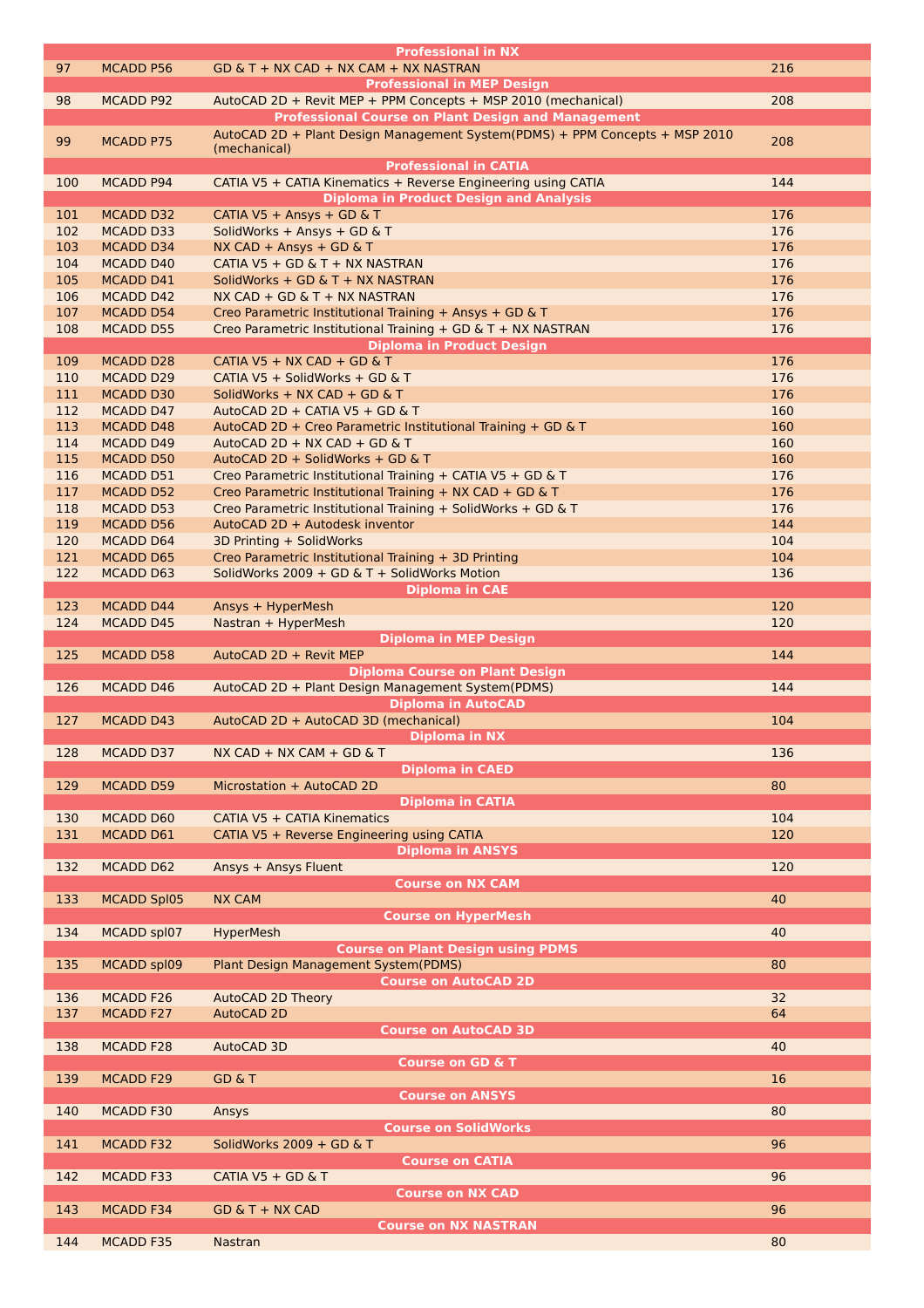|     |                    | <b>Professional in NX</b>                                                   |     |
|-----|--------------------|-----------------------------------------------------------------------------|-----|
| 97  | <b>MCADD P56</b>   | $GD & T + NX CAD + NX CAM + NX NASTRAN$                                     | 216 |
|     |                    | <b>Professional in MEP Design</b>                                           |     |
| 98  |                    |                                                                             | 208 |
|     | MCADD P92          | AutoCAD 2D + Revit MEP + PPM Concepts + MSP 2010 (mechanical)               |     |
|     |                    | <b>Professional Course on Plant Design and Management</b>                   |     |
| 99  | <b>MCADD P75</b>   | AutoCAD 2D + Plant Design Management System(PDMS) + PPM Concepts + MSP 2010 | 208 |
|     |                    | (mechanical)                                                                |     |
|     |                    | <b>Professional in CATIA</b>                                                |     |
| 100 | MCADD P94          | CATIA V5 + CATIA Kinematics + Reverse Engineering using CATIA               | 144 |
|     |                    | <b>Diploma in Product Design and Analysis</b>                               |     |
|     |                    |                                                                             |     |
| 101 | <b>MCADD D32</b>   | CATIA V5 + Ansys + GD & T                                                   | 176 |
| 102 | MCADD D33          | SolidWorks + Ansys + GD & T                                                 | 176 |
| 103 | <b>MCADD D34</b>   | NX CAD + Ansys + GD & T                                                     | 176 |
| 104 | MCADD D40          | CATIA V5 + GD & T + NX NASTRAN                                              | 176 |
| 105 | MCADD D41          | SolidWorks + GD & T + NX NASTRAN                                            | 176 |
| 106 | MCADD D42          | $NX CAD + GD & T + NX NASTRAN$                                              | 176 |
| 107 | MCADD D54          | Creo Parametric Institutional Training + Ansys + GD & T                     | 176 |
|     |                    |                                                                             |     |
| 108 | <b>MCADD D55</b>   | Creo Parametric Institutional Training + GD & T + NX NASTRAN                | 176 |
|     |                    | <b>Diploma in Product Design</b>                                            |     |
| 109 | <b>MCADD D28</b>   | CATIA V5 + NX CAD + GD & T                                                  | 176 |
| 110 | <b>MCADD D29</b>   | CATIA V5 + SolidWorks + GD & T                                              | 176 |
| 111 | <b>MCADD D30</b>   | SolidWorks + NX CAD + GD & T                                                | 176 |
| 112 | <b>MCADD D47</b>   | AutoCAD 2D + CATIA V5 + GD & T                                              | 160 |
|     |                    |                                                                             |     |
| 113 | <b>MCADD D48</b>   | AutoCAD 2D + Creo Parametric Institutional Training + GD & T                | 160 |
| 114 | <b>MCADD D49</b>   | AutoCAD 2D + NX CAD + GD & T                                                | 160 |
| 115 | MCADD D50          | AutoCAD 2D + SolidWorks + GD & T                                            | 160 |
| 116 | MCADD D51          | Creo Parametric Institutional Training + CATIA V5 + GD & T                  | 176 |
| 117 | MCADD D52          | Creo Parametric Institutional Training + NX CAD + GD & T                    | 176 |
| 118 | MCADD D53          | Creo Parametric Institutional Training + SolidWorks + GD & T                | 176 |
| 119 |                    |                                                                             | 144 |
|     | <b>MCADD D56</b>   | AutoCAD 2D + Autodesk inventor                                              |     |
| 120 | <b>MCADD D64</b>   | 3D Printing + SolidWorks                                                    | 104 |
| 121 | <b>MCADD D65</b>   | Creo Parametric Institutional Training + 3D Printing                        | 104 |
| 122 | <b>MCADD D63</b>   | SolidWorks 2009 + GD & T + SolidWorks Motion                                | 136 |
|     |                    | <b>Diploma in CAE</b>                                                       |     |
| 123 | <b>MCADD D44</b>   | Ansys + HyperMesh                                                           | 120 |
| 124 | <b>MCADD D45</b>   | Nastran + HyperMesh                                                         | 120 |
|     |                    |                                                                             |     |
|     |                    | <b>Diploma in MEP Design</b>                                                |     |
| 125 | <b>MCADD D58</b>   | AutoCAD 2D + Revit MEP                                                      | 144 |
|     |                    | <b>Diploma Course on Plant Design</b>                                       |     |
| 126 | <b>MCADD D46</b>   | AutoCAD 2D + Plant Design Management System(PDMS)                           | 144 |
|     |                    |                                                                             |     |
|     |                    |                                                                             |     |
|     |                    | <b>Diploma in AutoCAD</b>                                                   |     |
| 127 | <b>MCADD D43</b>   | AutoCAD 2D + AutoCAD 3D (mechanical)                                        | 104 |
|     |                    | <b>Diploma in NX</b>                                                        |     |
| 128 | <b>MCADD D37</b>   | NX CAD + NX CAM + GD & T                                                    | 136 |
|     |                    | <b>Diploma in CAED</b>                                                      |     |
| 129 | <b>MCADD D59</b>   | Microstation + AutoCAD 2D                                                   | 80  |
|     |                    |                                                                             |     |
|     |                    | <b>Diploma in CATIA</b>                                                     |     |
| 130 | MCADD D60          | CATIA V5 + CATIA Kinematics                                                 | 104 |
| 131 | MCADD D61          | CATIA V5 + Reverse Engineering using CATIA                                  | 120 |
|     |                    | <b>Diploma in ANSYS</b>                                                     |     |
| 132 | MCADD D62          | Ansys + Ansys Fluent                                                        | 120 |
|     |                    | <b>Course on NX CAM</b>                                                     |     |
| 133 | <b>MCADD Spl05</b> | <b>NX CAM</b>                                                               | 40  |
|     |                    |                                                                             |     |
|     |                    | <b>Course on HyperMesh</b>                                                  |     |
| 134 | MCADD spl07        | <b>HyperMesh</b>                                                            | 40  |
|     |                    | <b>Course on Plant Design using PDMS</b>                                    |     |
| 135 | MCADD spl09        | Plant Design Management System(PDMS)                                        | 80  |
|     |                    | <b>Course on AutoCAD 2D</b>                                                 |     |
| 136 | MCADD F26          | <b>AutoCAD 2D Theory</b>                                                    | 32  |
|     | <b>MCADD F27</b>   |                                                                             | 64  |
| 137 |                    | AutoCAD 2D                                                                  |     |
|     |                    | <b>Course on AutoCAD 3D</b>                                                 |     |
| 138 | MCADD F28          | AutoCAD 3D                                                                  | 40  |
|     |                    | <b>Course on GD &amp; T</b>                                                 |     |
| 139 | <b>MCADD F29</b>   | <b>GD &amp; T</b>                                                           | 16  |
|     |                    | <b>Course on ANSYS</b>                                                      |     |
| 140 | <b>MCADD F30</b>   | Ansys                                                                       | 80  |
|     |                    |                                                                             |     |
|     |                    | <b>Course on SolidWorks</b>                                                 |     |
| 141 | MCADD F32          | SolidWorks 2009 + GD & T                                                    | 96  |
|     |                    | <b>Course on CATIA</b>                                                      |     |
| 142 | MCADD F33          | CATIA V5 + GD & T                                                           | 96  |
|     |                    | <b>Course on NX CAD</b>                                                     |     |
| 143 | <b>MCADD F34</b>   | $GD & T + NX$ CAD                                                           | 96  |
|     |                    | <b>Course on NX NASTRAN</b>                                                 |     |